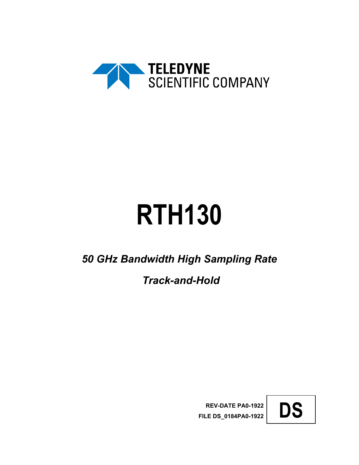

# **RTH130**

*50 GHz Bandwidth High Sampling Rate*

*Track-and-Hold*

**REV-DATE PA0-1922 FILE DS\_0184PA0-1922 DS** 

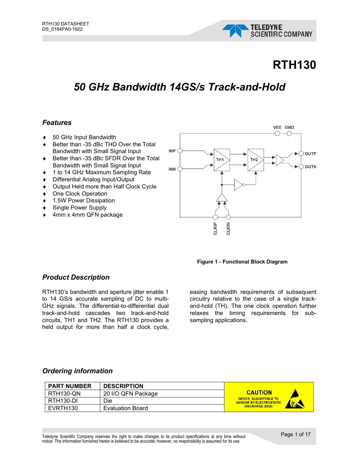

# **RTH130**

# *50 GHz Bandwidth 14GS/s Track-and-Hold*

#### *Features*

- ♦ 50 GHz Input Bandwidth
- ◆ Better than -35 dBc THD Over the Total Bandwidth with Small Signal Input
- ♦ Better than -35 dBc SFDR Over the Total Bandwidth with Small Signal Input
- ♦ 1 to 14 GHz Maximum Sampling Rate
- ♦ Differential Analog Input/Output
- ♦ Output Held more than Half Clock Cycle
- ♦ One Clock Operation
- ♦ 1.5W Power Dissipation
- ♦ Single Power Supply
- 4mm x 4mm QFN package





#### *Product Description*

RTH130's bandwidth and aperture jitter enable 1 to 14 GS/s accurate sampling of DC to multi-GHz signals. The differential-to-differential dual track-and-hold cascades two track-and-hold circuits, TH1 and TH2. The RTH130 provides a held output for more than half a clock cycle,

easing bandwidth requirements of subsequent circuitry relative to the case of a single trackand-hold (TH). The one clock operation further relaxes the timing requirements for subsampling applications.

#### *Ordering information*

| <b>PART NUMBER</b>     | <b>DESCRIPTION</b> |                                                                                |
|------------------------|--------------------|--------------------------------------------------------------------------------|
| RTH130-QN              | 20 I/O QFN Package | <b>CAUTION</b>                                                                 |
| RTH <sub>130</sub> -DI | Die                | <b>DEVICE SUSCEPTIBLE TO</b><br><b>DAMAGE BY ELECTROSTATIC</b><br><b>Scott</b> |
| EVRTH130               | Evaluation Board   | <b>DISCHARGE (ESD)</b>                                                         |

Teledyne Scientific Company reserves the right to make changes to its product specifications at any time without notice. The information furnished herein is believed to be accurate; however, no responsibility is assumed for its use.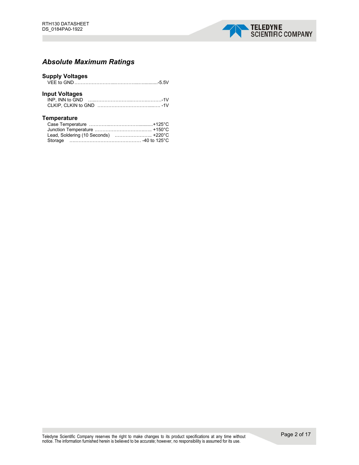

#### *Absolute Maximum Ratings*

| <b>Supply Voltages</b> |  |
|------------------------|--|
| <b>Input Voltages</b>  |  |
| <b>Temperature</b>     |  |

Lead, Soldering (10 Seconds) .………………….. +220°C Storage ….…………………………………… -40 to 125°C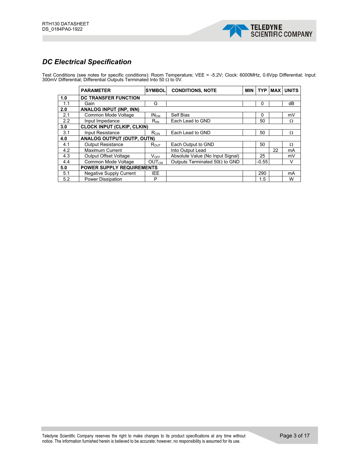

#### *DC Electrical Specification*

Test Conditions (see notes for specific conditions): Room Temperature; VEE = -5.2V; Clock: 6000MHz, 0.6Vpp Differential; Input: 300mV Differential; Differential Outputs Terminated Into 50 Ω to 0V.

|     | <b>PARAMETER</b>                  | <b>SYMBOL</b>               | <b>CONDITIONS, NOTE</b>               | <b>MIN</b> | <b>TYP</b> |    | <b>MAX UNITS</b> |
|-----|-----------------------------------|-----------------------------|---------------------------------------|------------|------------|----|------------------|
| 1.0 | <b>DC TRANSFER FUNCTION</b>       |                             |                                       |            |            |    |                  |
| 1.1 | Gain                              | G                           |                                       |            | 0          |    | dB               |
| 2.0 | <b>ANALOG INPUT (INP, INN)</b>    |                             |                                       |            |            |    |                  |
| 2.1 | Common Mode Voltage               | IN <sub>CM</sub>            | Self Bias                             |            | $\Omega$   |    | mV               |
| 2.2 | Input Impedance                   | $R_{\text{IIN}}$            | Each Lead to GND                      |            | 50         |    | Ω                |
| 3.0 | <b>CLOCK INPUT (CLKIP, CLKIN)</b> |                             |                                       |            |            |    |                  |
| 3.1 | Input Resistance                  | $R_{CIN}$                   | Each Lead to GND                      |            | 50         |    | Ω                |
| 4.0 | <b>ANALOG OUTPUT (OUTP, OUTN)</b> |                             |                                       |            |            |    |                  |
| 4.1 | <b>Output Resistance</b>          | $\mathsf{R}_{\mathsf{OUT}}$ | Each Output to GND                    |            | 50         |    | Ω                |
| 4.2 | Maximum Current                   |                             | Into Output Lead                      |            |            | 22 | mA               |
| 4.3 | Output Offset Voltage             | $V_{OFF}$                   | Absolute Value (No Input Signal)      |            | 25         |    | mV               |
| 4.4 | Common Mode Voltage               | <b>OUTCM</b>                | Outputs Terminated 50 $\Omega$ to GND |            | $-0.55$    |    | V                |
| 5.0 | <b>POWER SUPPLY REQUIREMENTS</b>  |                             |                                       |            |            |    |                  |
| 5.1 | Negative Supply Current           | <b>IEE</b>                  |                                       |            | 290        |    | mA               |
| 5.2 | <b>Power Dissipation</b>          | P                           |                                       |            | 1.5        |    | W                |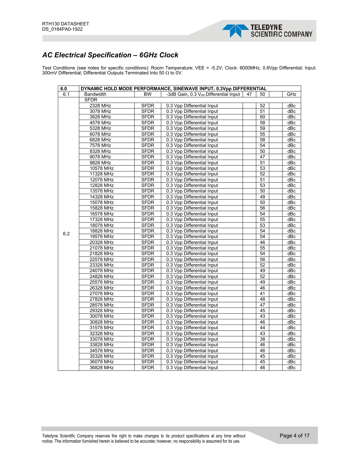

#### *AC Electrical Specification – 6GHz Clock*

Test Conditions (see notes for specific conditions): Room Temperature; VEE = -5.2V; Clock: 6000MHz, 0.6Vpp Differential; Input: 300mV Differential; Differential Outputs Terminated Into 50 Ω to 0V.

| 6.0 |                  |             | DYNAMIC HOLD MODE PERFORMANCE, SINEWAVE INPUT, 0.3Vpp DIFFERENTIAL |    |                 |     |
|-----|------------------|-------------|--------------------------------------------------------------------|----|-----------------|-----|
| 6.1 | <b>Bandwidth</b> | <b>BW</b>   | -3dB Gain, 0.3 V <sub>PP</sub> Differential Input                  | 47 | 50              | GHz |
|     | <b>SFDR</b>      |             |                                                                    |    |                 |     |
|     | 2328 MHz         | <b>SFDR</b> | 0.3 Vpp Differential Input                                         |    | 52              | dBc |
|     | 3078 MHz         | <b>SFDR</b> | 0.3 Vpp Differential Input                                         |    | 51              | dBc |
|     | 3828 MHz         | <b>SFDR</b> | 0.3 Vpp Differential Input                                         |    | 60              | dBc |
|     | 4578 MHz         | <b>SFDR</b> | 0.3 Vpp Differential Input                                         |    | 58              | dBc |
|     | 5328 MHz         | <b>SFDR</b> | 0.3 Vpp Differential Input                                         |    | 59              | dBc |
|     | 6078 MHz         | <b>SFDR</b> | 0.3 Vpp Differential Input                                         |    | 55              | dBc |
|     | 6828 MHz         | <b>SFDR</b> | 0.3 Vpp Differential Input                                         |    | 58              | dBc |
|     | 7578 MHz         | <b>SFDR</b> | 0.3 Vpp Differential Input                                         |    | 54              | dBc |
|     | 8328 MHz         | <b>SFDR</b> | 0.3 Vpp Differential Input                                         |    | 50              | dBc |
|     | 9078 MHz         | <b>SFDR</b> | 0.3 Vpp Differential Input                                         |    | 47              | dBc |
|     | 9828 MHz         | <b>SFDR</b> | 0.3 Vpp Differential Input                                         |    | 51              | dBc |
|     | 10578 MHz        | <b>SFDR</b> | 0.3 Vpp Differential Input                                         |    | 53              | dBc |
|     | 11328 MHz        | <b>SFDR</b> | 0.3 Vpp Differential Input                                         |    | 52              | dBc |
|     | 12078 MHz        | <b>SFDR</b> | 0.3 Vpp Differential Input                                         |    | 51              | dBc |
|     | 12828 MHz        | <b>SFDR</b> | 0.3 Vpp Differential Input                                         |    | 53              | dBc |
|     | 13578 MHz        | <b>SFDR</b> | 0.3 Vpp Differential Input                                         |    | 50              | dBc |
|     | 14328 MHz        | <b>SFDR</b> | 0.3 Vpp Differential Input                                         |    | 48              | dBc |
|     | 15078 MHz        | <b>SFDR</b> | 0.3 Vpp Differential Input                                         |    | 50              | dBc |
|     | 15828 MHz        | <b>SFDR</b> | 0.3 Vpp Differential Input                                         |    | $\overline{56}$ | dBc |
|     | 16578 MHz        | <b>SFDR</b> | 0.3 Vpp Differential Input                                         |    | 54              | dBc |
| 6.2 | 17328 MHz        | <b>SFDR</b> | 0.3 Vpp Differential Input                                         |    | 55              | dBc |
|     | 18078 MHz        | <b>SFDR</b> | 0.3 Vpp Differential Input                                         |    | 53              | dBc |
|     | 18828 MHz        | <b>SFDR</b> | 0.3 Vpp Differential Input                                         |    | 54              | dBc |
|     | 19578 MHz        | <b>SFDR</b> | 0.3 Vpp Differential Input                                         |    | 54              | dBc |
|     | 20328 MHz        | <b>SFDR</b> | 0.3 Vpp Differential Input                                         |    | 46              | dBc |
|     | 21078 MHz        | <b>SFDR</b> | 0.3 Vpp Differential Input                                         |    | 55              | dBc |
|     | 21828 MHz        | <b>SFDR</b> | 0.3 Vpp Differential Input                                         |    | 54              | dBc |
|     | 22578 MHz        | <b>SFDR</b> | 0.3 Vpp Differential Input                                         |    | 56              | dBc |
|     | 23328 MHz        | <b>SFDR</b> | 0.3 Vpp Differential Input                                         |    | 52              | dBc |
|     | 24078 MHz        | <b>SFDR</b> | 0.3 Vpp Differential Input                                         |    | 49              | dBc |
|     | 24828 MHz        | <b>SFDR</b> | 0.3 Vpp Differential Input                                         |    | 52              | dBc |
|     | 25578 MHz        | <b>SFDR</b> | 0.3 Vpp Differential Input                                         |    | 49              | dBc |
|     | 26328 MHz        | <b>SFDR</b> | 0.3 Vpp Differential Input                                         |    | 46              | dBc |
|     | 27078 MHz        | <b>SFDR</b> | 0.3 Vpp Differential Input                                         |    | 41              | dBc |
|     | 27828 MHz        | <b>SFDR</b> | 0.3 Vpp Differential Input                                         |    | 48              | dBc |
|     | 28578 MHz        | <b>SFDR</b> | 0.3 Vpp Differential Input                                         |    | 47              | dBc |
|     | 29328 MHz        | <b>SFDR</b> | 0.3 Vpp Differential Input                                         |    | 45              | dBc |
|     | 30078 MHz        | <b>SFDR</b> | 0.3 Vpp Differential Input                                         |    | 43              | dBc |
|     | 30828 MHz        | <b>SFDR</b> | 0.3 Vpp Differential Input                                         |    | 46              | dBc |
|     | 31578 MHz        | <b>SFDR</b> | 0.3 Vpp Differential Input                                         |    | 44              | dBc |
|     | 32328 MHz        | <b>SFDR</b> | 0.3 Vpp Differential Input                                         |    | 43              | dBc |
|     | 33078 MHz        | <b>SFDR</b> | 0.3 Vpp Differential Input                                         |    | 38              | dBc |
|     | 33828 MHz        | <b>SFDR</b> | 0.3 Vpp Differential Input                                         |    | 46              | dBc |
|     | 34578 MHz        | <b>SFDR</b> | 0.3 Vpp Differential Input                                         |    | 46              | dBc |
|     | 35328 MHz        | <b>SFDR</b> | 0.3 Vpp Differential Input                                         |    | 45              | dBc |
|     | 36078 MHz        | <b>SFDR</b> | 0.3 Vpp Differential Input                                         |    | 45              | dBc |
|     | 36828 MHz        | <b>SFDR</b> | 0.3 Vpp Differential Input                                         |    | 46              | dBc |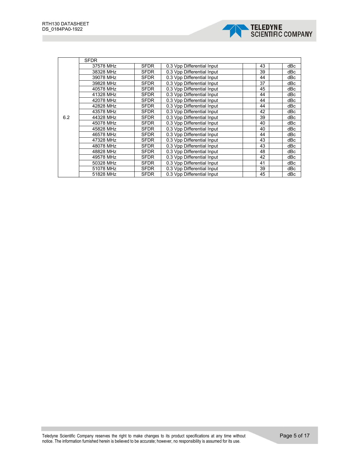

|     | <b>SFDR</b> |             |                            |    |     |
|-----|-------------|-------------|----------------------------|----|-----|
|     | 37578 MHz   | <b>SFDR</b> | 0.3 Vpp Differential Input | 43 | dBc |
|     | 38328 MHz   | SFDR        | 0.3 Vpp Differential Input | 39 | dBc |
|     | 39078 MHz   | <b>SFDR</b> | 0.3 Vpp Differential Input | 44 | dBc |
|     | 39828 MHz   | SFDR        | 0.3 Vpp Differential Input | 37 | dBc |
|     | 40578 MHz   | <b>SFDR</b> | 0.3 Vpp Differential Input | 45 | dBc |
|     | 41328 MHz   | <b>SFDR</b> | 0.3 Vpp Differential Input | 44 | dBc |
|     | 42078 MHz   | SFDR        | 0.3 Vpp Differential Input | 44 | dBc |
| 6.2 | 42828 MHz   | SFDR        | 0.3 Vpp Differential Input | 44 | dBc |
|     | 43578 MHz   | <b>SFDR</b> | 0.3 Vpp Differential Input | 42 | dBc |
|     | 44328 MHz   | <b>SFDR</b> | 0.3 Vpp Differential Input | 39 | dBc |
|     | 45078 MHz   | SFDR        | 0.3 Vpp Differential Input | 40 | dBc |
|     | 45828 MHz   | SFDR        | 0.3 Vpp Differential Input | 40 | dBc |
|     | 46578 MHz   | SFDR        | 0.3 Vpp Differential Input | 44 | dBc |
|     | 47328 MHz   | SFDR        | 0.3 Vpp Differential Input | 43 | dBc |
|     | 48078 MHz   | SFDR        | 0.3 Vpp Differential Input | 43 | dBc |
|     | 48828 MHz   | SFDR        | 0.3 Vpp Differential Input | 48 | dBc |
|     | 49578 MHz   | SFDR        | 0.3 Vpp Differential Input | 42 | dBc |
|     | 50328 MHz   | <b>SFDR</b> | 0.3 Vpp Differential Input | 41 | dBc |
|     | 51078 MHz   | SFDR        | 0.3 Vpp Differential Input | 39 | dBc |
|     | 51828 MHz   | <b>SFDR</b> | 0.3 Vpp Differential Input | 45 | dBc |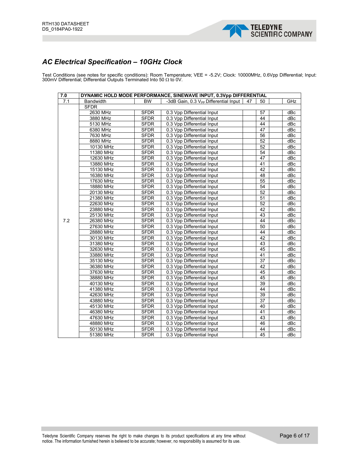

# *AC Electrical Specification – 10GHz Clock*

Test Conditions (see notes for specific conditions): Room Temperature; VEE = -5.2V; Clock: 10000MHz, 0.6Vpp Differential; Input: 300mV Differential; Differential Outputs Terminated Into 50 Ω to 0V.

| 7.0 |                  |             | DYNAMIC HOLD MODE PERFORMANCE, SINEWAVE INPUT, 0.3Vpp DIFFERENTIAL |    |                 |     |
|-----|------------------|-------------|--------------------------------------------------------------------|----|-----------------|-----|
| 7.1 | <b>Bandwidth</b> | <b>BW</b>   | -3dB Gain, 0.3 V <sub>PP</sub> Differential Input                  | 47 | 50              | GHz |
|     | <b>SFDR</b>      |             |                                                                    |    |                 |     |
|     | 2630 MHz         | <b>SFDR</b> | 0.3 Vpp Differential Input                                         |    | 57              | dBc |
|     | 3880 MHz         | <b>SFDR</b> | 0.3 Vpp Differential Input                                         |    | 44              | dBc |
|     | 5130 MHz         | <b>SFDR</b> | 0.3 Vpp Differential Input                                         |    | 44              | dBc |
|     | 6380 MHz         | <b>SFDR</b> | 0.3 Vpp Differential Input                                         |    | 47              | dBc |
|     | 7630 MHz         | <b>SFDR</b> | 0.3 Vpp Differential Input                                         |    | 56              | dBc |
|     | 8880 MHz         | <b>SFDR</b> | 0.3 Vpp Differential Input                                         |    | $\overline{52}$ | dBc |
|     | 10130 MHz        | <b>SFDR</b> | 0.3 Vpp Differential Input                                         |    | 52              | dBc |
|     | 11380 MHz        | <b>SFDR</b> | 0.3 Vpp Differential Input                                         |    | 54              | dBc |
|     | 12630 MHz        | <b>SFDR</b> | 0.3 Vpp Differential Input                                         |    | 47              | dBc |
|     | 13880 MHz        | <b>SFDR</b> | 0.3 Vpp Differential Input                                         |    | $\overline{41}$ | dBc |
|     | 15130 MHz        | <b>SFDR</b> | 0.3 Vpp Differential Input                                         |    | 42              | dBc |
|     | 16380 MHz        | <b>SFDR</b> | 0.3 Vpp Differential Input                                         |    | 48              | dBc |
|     | 17630 MHz        | <b>SFDR</b> | 0.3 Vpp Differential Input                                         |    | 55              | dBc |
|     | 18880 MHz        | <b>SFDR</b> | 0.3 Vpp Differential Input                                         |    | 54              | dBc |
|     | 20130 MHz        | <b>SFDR</b> | 0.3 Vpp Differential Input                                         |    | 52              | dBc |
|     | 21380 MHz        | <b>SFDR</b> | 0.3 Vpp Differential Input                                         |    | 51              | dBc |
|     | 22630 MHz        | <b>SFDR</b> | 0.3 Vpp Differential Input                                         |    | 52              | dBc |
|     | 23880 MHz        | <b>SFDR</b> | 0.3 Vpp Differential Input                                         |    | $\overline{42}$ | dBc |
|     | 25130 MHz        | <b>SFDR</b> | 0.3 Vpp Differential Input                                         |    | 43              | dBc |
| 7.2 | 26380 MHz        | <b>SFDR</b> | 0.3 Vpp Differential Input                                         |    | 44              | dBc |
|     | 27630 MHz        | <b>SFDR</b> | 0.3 Vpp Differential Input                                         |    | 50              | dBc |
|     | 28880 MHz        | <b>SFDR</b> | 0.3 Vpp Differential Input                                         |    | 44              | dBc |
|     | 30130 MHz        | <b>SFDR</b> | 0.3 Vpp Differential Input                                         |    | 42              | dBc |
|     | 31380 MHz        | <b>SFDR</b> | 0.3 Vpp Differential Input                                         |    | 43              | dBc |
|     | 32630 MHz        | <b>SFDR</b> | 0.3 Vpp Differential Input                                         |    | 45              | dBc |
|     | 33880 MHz        | <b>SFDR</b> | 0.3 Vpp Differential Input                                         |    | 41              | dBc |
|     | 35130 MHz        | <b>SFDR</b> | 0.3 Vpp Differential Input                                         |    | $\overline{37}$ | dBc |
|     | 36380 MHz        | <b>SFDR</b> | 0.3 Vpp Differential Input                                         |    | 42              | dBc |
|     | 37630 MHz        | <b>SFDR</b> | 0.3 Vpp Differential Input                                         |    | 45              | dBc |
|     | 38880 MHz        | <b>SFDR</b> | 0.3 Vpp Differential Input                                         |    | 45              | dBc |
|     | 40130 MHz        | <b>SFDR</b> | 0.3 Vpp Differential Input                                         |    | 39              | dBc |
|     | 41380 MHz        | <b>SFDR</b> | 0.3 Vpp Differential Input                                         |    | 44              | dBc |
|     | 42630 MHz        | <b>SFDR</b> | 0.3 Vpp Differential Input                                         |    | 39              | dBc |
|     | 43880 MHz        | <b>SFDR</b> | 0.3 Vpp Differential Input                                         |    | 37              | dBc |
|     | 45130 MHz        | <b>SFDR</b> | 0.3 Vpp Differential Input                                         |    | 40              | dBc |
|     | 46380 MHz        | <b>SFDR</b> | 0.3 Vpp Differential Input                                         |    | 41              | dBc |
|     | 47630 MHz        | <b>SFDR</b> | 0.3 Vpp Differential Input                                         |    | 43              | dBc |
|     | 48880 MHz        | <b>SFDR</b> | 0.3 Vpp Differential Input                                         |    | 46              | dBc |
|     | 50130 MHz        | <b>SFDR</b> | 0.3 Vpp Differential Input                                         |    | $\overline{44}$ | dBc |
|     | 51380 MHz        | <b>SFDR</b> | 0.3 Vpp Differential Input                                         |    | $\overline{45}$ | dBc |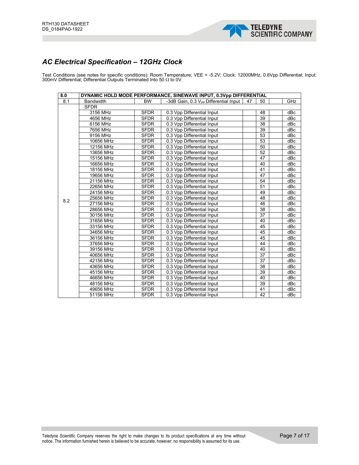

# *AC Electrical Specification – 12GHz Clock*

Test Conditions (see notes for specific conditions): Room Temperature; VEE = -5.2V; Clock: 12000MHz, 0.6Vpp Differential; Input: 300mV Differential; Differential Outputs Terminated Into 50 Ω to 0V.

| 8.0 |                  |             | DYNAMIC HOLD MODE PERFORMANCE, SINEWAVE INPUT, 0.3Vpp DIFFERENTIAL |    |    |     |
|-----|------------------|-------------|--------------------------------------------------------------------|----|----|-----|
| 8.1 | <b>Bandwidth</b> | <b>BW</b>   | -3dB Gain, 0.3 V <sub>PP</sub> Differential Input                  | 47 | 50 | GHz |
|     | <b>SFDR</b>      |             |                                                                    |    |    |     |
|     | 3156 MHz         | <b>SFDR</b> | 0.3 Vpp Differential Input                                         |    | 48 | dBc |
|     | 4656 MHz         | <b>SFDR</b> | 0.3 Vpp Differential Input                                         |    | 39 | dBc |
|     | 6156 MHz         | SFDR        | 0.3 Vpp Differential Input                                         |    | 38 | dBc |
|     | 7656 MHz         | <b>SFDR</b> | 0.3 Vpp Differential Input                                         |    | 39 | dBc |
|     | 9156 MHz         | <b>SFDR</b> | 0.3 Vpp Differential Input                                         |    | 53 | dBc |
|     | 10656 MHz        | <b>SFDR</b> | 0.3 Vpp Differential Input                                         |    | 53 | dBc |
| 8.2 | 12156 MHz        | <b>SFDR</b> | 0.3 Vpp Differential Input                                         |    | 50 | dBc |
|     | 13656 MHz        | <b>SFDR</b> | 0.3 Vpp Differential Input                                         |    | 52 | dBc |
|     | 15156 MHz        | <b>SFDR</b> | 0.3 Vpp Differential Input                                         |    | 47 | dBc |
|     | 16656 MHz        | <b>SFDR</b> | 0.3 Vpp Differential Input                                         |    | 40 | dBc |
|     | 18156 MHz        | <b>SFDR</b> | 0.3 Vpp Differential Input                                         |    | 41 | dBc |
|     | 19656 MHz        | <b>SFDR</b> | 0.3 Vpp Differential Input                                         |    | 47 | dBc |
|     | 21156 MHz        | <b>SFDR</b> | 0.3 Vpp Differential Input                                         |    | 54 | dBc |
|     | 22656 MHz        | <b>SFDR</b> | 0.3 Vpp Differential Input                                         |    | 51 | dBc |
|     | 24156 MHz        | <b>SFDR</b> | 0.3 Vpp Differential Input                                         |    | 49 | dBc |
|     | 25656 MHz        | <b>SFDR</b> | 0.3 Vpp Differential Input                                         |    | 48 | dBc |
|     | 27156 MHz        | <b>SFDR</b> | 0.3 Vpp Differential Input                                         |    | 46 | dBc |
|     | 28656 MHz        | <b>SFDR</b> | 0.3 Vpp Differential Input                                         |    | 38 | dBc |
|     | 30156 MHz        | <b>SFDR</b> | 0.3 Vpp Differential Input                                         |    | 37 | dBc |
|     | 31656 MHz        | <b>SFDR</b> | 0.3 Vpp Differential Input                                         |    | 40 | dBc |
|     | 33156 MHz        | <b>SFDR</b> | 0.3 Vpp Differential Input                                         |    | 45 | dBc |
|     | 34656 MHz        | <b>SFDR</b> | 0.3 Vpp Differential Input                                         |    | 45 | dBc |
|     | 36156 MHz        | <b>SFDR</b> | 0.3 Vpp Differential Input                                         |    | 45 | dBc |
|     | 37656 MHz        | <b>SFDR</b> | 0.3 Vpp Differential Input                                         |    | 44 | dBc |
|     | 39156 MHz        | <b>SFDR</b> | 0.3 Vpp Differential Input                                         |    | 40 | dBc |
|     | 40656 MHz        | <b>SFDR</b> | 0.3 Vpp Differential Input                                         |    | 37 | dBc |
|     | 42156 MHz        | <b>SFDR</b> | 0.3 Vpp Differential Input                                         |    | 37 | dBc |
|     | 43656 MHz        | <b>SFDR</b> | 0.3 Vpp Differential Input                                         |    | 38 | dBc |
|     | 45156 MHz        | <b>SFDR</b> | 0.3 Vpp Differential Input                                         |    | 39 | dBc |
|     | 46656 MHz        | <b>SFDR</b> | 0.3 Vpp Differential Input                                         |    | 40 | dBc |
|     | 48156 MHz        | <b>SFDR</b> | 0.3 Vpp Differential Input                                         |    | 39 | dBc |
|     | 49656 MHz        | <b>SFDR</b> | 0.3 Vpp Differential Input                                         |    | 41 | dBc |
|     | 51156 MHz        | <b>SFDR</b> | 0.3 Vpp Differential Input                                         |    | 42 | dBc |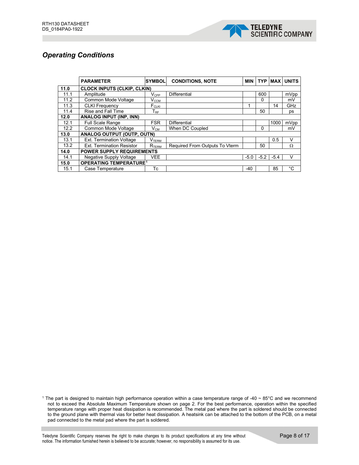

#### *Operating Conditions*

|      | <b>PARAMETER</b>                         | <b>SYMBOL</b>                      | <b>CONDITIONS, NOTE</b>        |        | <b>TYP</b> | <b>MAX</b> | <b>UNITS</b> |
|------|------------------------------------------|------------------------------------|--------------------------------|--------|------------|------------|--------------|
| 11.0 | <b>CLOCK INPUTS (CLKIP, CLKIN)</b>       |                                    |                                |        |            |            |              |
| 11.1 | Amplitude                                | $V_{\text{CPP}}$                   | <b>Differential</b>            |        | 600        |            | mVpp         |
| 11.2 | Common Mode Voltage                      | Vccм                               |                                |        | $\Omega$   |            | mV           |
| 11.3 | <b>CLKI Frequency</b>                    | F <sub>CLKI</sub>                  |                                | 1      |            | 14         | GHz          |
| 11.4 | <b>Rise and Fall Time</b>                | ${\mathsf T}_{\mathsf R\mathsf F}$ |                                |        | 50         |            | ps           |
| 12.0 | <b>ANALOG INPUT (INP, INN)</b>           |                                    |                                |        |            |            |              |
| 12.1 | Full Scale Range                         | <b>FSR</b>                         | <b>Differential</b>            |        |            | 1000       | mVpp         |
| 12.2 | Common Mode Voltage                      | $V_{CM}$                           | When DC Coupled                |        | $\Omega$   |            | mV           |
| 13.0 | <b>ANALOG OUTPUT (OUTP, OUTN)</b>        |                                    |                                |        |            |            |              |
| 13.1 | Ext. Termination Voltage                 | V <sub>TERM</sub>                  |                                |        |            | 0.5        | $\vee$       |
| 13.2 | <b>Ext. Termination Resistor</b>         | ${\sf R}_{\sf TERM}$               | Required From Outputs To Vterm |        | 50         |            | Ω            |
| 14.0 | <b>POWER SUPPLY REQUIREMENTS</b>         |                                    |                                |        |            |            |              |
| 14.1 | Negative Supply Voltage                  | <b>VEE</b>                         |                                | $-5.0$ | $-5.2$     | $-5.4$     | v            |
| 15.0 | <b>OPERATING TEMPERATURE<sup>1</sup></b> |                                    |                                |        |            |            |              |
| 15.1 | Case Temperature                         | Тc                                 |                                | $-40$  |            | 85         | °C           |

<span id="page-8-0"></span><sup>1</sup> The part is designed to maintain high performance operation within a case temperature range of -40  $\sim$  85°C and we recommend not to exceed the Absolute Maximum Temperature shown on page 2. For the best performance, operation within the specified temperature range with proper heat dissipation is recommended. The metal pad where the part is soldered should be connected to the ground plane with thermal vias for better heat dissipation. A heatsink can be attached to the bottom of the PCB, on a metal pad connected to the metal pad where the part is soldered.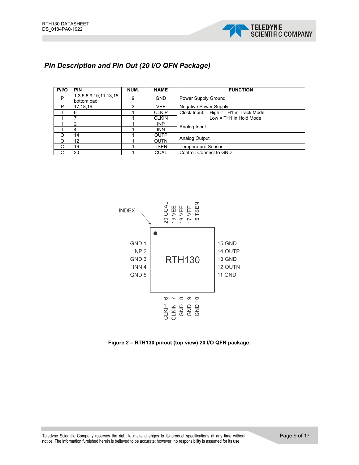

## *Pin Description and Pin Out (20 I/O QFN Package)*

| P/IO | <b>PIN</b>                           | NUM. | <b>NAME</b>  | <b>FUNCTION</b>                       |
|------|--------------------------------------|------|--------------|---------------------------------------|
| P    | 1,3,5,8,9,10,11,13,15,<br>bottom pad | 9    | <b>GND</b>   | Power Supply Ground                   |
| P    | 17, 18, 19                           | 3    | <b>VEE</b>   | <b>Negative Power Supply</b>          |
|      | 6                                    |      | <b>CLKIP</b> | Clock Input: High = TH1 in Track Mode |
|      |                                      |      | <b>CLKIN</b> | Low = TH1 in Hold Mode                |
|      | 2                                    |      | <b>INP</b>   | Analog Input                          |
|      | 4                                    |      | <b>INN</b>   |                                       |
| O    | 14                                   |      | <b>OUTP</b>  | Analog Output                         |
| O    | 12                                   |      | <b>OUTN</b>  |                                       |
| C    | 16                                   |      | <b>TSEN</b>  | <b>Temperature Sensor</b>             |
| C    | 20                                   |      | <b>CCAL</b>  | Control: Connect to GND               |



**Figure 2 – RTH130 pinout (top view) 20 I/O QFN package.**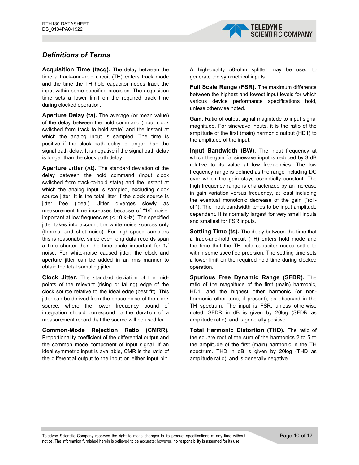

#### *Definitions of Terms*

**Acquisition Time (tacq).** The delay between the time a track-and-hold circuit (TH) enters track mode and the time the TH hold capacitor nodes track the input within some specified precision. The acquisition time sets a lower limit on the required track time during clocked operation.

**Aperture Delay (ta).** The average (or mean value) of the delay between the hold command (input clock switched from track to hold state) and the instant at which the analog input is sampled. The time is positive if the clock path delay is longer than the signal path delay. It is negative if the signal path delay is longer than the clock path delay.

**Aperture Jitter (**∆**t).** The standard deviation of the delay between the hold command (input clock switched from track-to-hold state) and the instant at which the analog input is sampled, excluding clock source jitter. It is the total jitter if the clock source is jitter free (ideal). Jitter diverges slowly as measurement time increases because of "1/f" noise, important at low frequencies (< 10 kHz). The specified jitter takes into account the white noise sources only (thermal and shot noise). For high-speed samplers this is reasonable, since even long data records span a time shorter than the time scale important for 1/f noise. For white-noise caused jitter, the clock and aperture jitter can be added in an rms manner to obtain the total sampling jitter.

**Clock Jitter.** The standard deviation of the midpoints of the relevant (rising or falling) edge of the clock source relative to the ideal edge (best fit). This jitter can be derived from the phase noise of the clock source, where the lower frequency bound of integration should correspond to the duration of a measurement record that the source will be used for.

**Common-Mode Rejection Ratio (CMRR).** Proportionality coefficient of the differential output and the common mode component of input signal. If an ideal symmetric input is available, CMR is the ratio of the differential output to the input on either input pin.

A high-quality 50-ohm splitter may be used to generate the symmetrical inputs.

**Full Scale Range (FSR).** The maximum difference between the highest and lowest input levels for which various device performance specifications hold, unless otherwise noted.

**Gain.** Ratio of output signal magnitude to input signal magnitude. For sinewave inputs, it is the ratio of the amplitude of the first (main) harmonic output (HD1) to the amplitude of the input.

**Input Bandwidth (BW).** The input frequency at which the gain for sinewave input is reduced by 3 dB relative to its value at low frequencies. The low frequency range is defined as the range including DC over which the gain stays essentially constant. The high frequency range is characterized by an increase in gain variation versus frequency, at least including the eventual monotonic decrease of the gain ("rolloff"). The input bandwidth tends to be input amplitude dependent. It is normally largest for very small inputs and smallest for FSR inputs.

**Settling Time (ts).** The delay between the time that a track-and-hold circuit (TH) enters hold mode and the time that the TH hold capacitor nodes settle to within some specified precision. The settling time sets a lower limit on the required hold time during clocked operation.

**Spurious Free Dynamic Range (SFDR).** The ratio of the magnitude of the first (main) harmonic, HD1, and the highest other harmonic (or nonharmonic other tone, if present), as observed in the TH spectrum. The input is FSR, unless otherwise noted. SFDR in dB is given by 20log (SFDR as amplitude ratio), and is generally positive.

**Total Harmonic Distortion (THD).** The ratio of the square root of the sum of the harmonics 2 to 5 to the amplitude of the first (main) harmonic in the TH spectrum. THD in dB is given by 20log (THD as amplitude ratio), and is generally negative.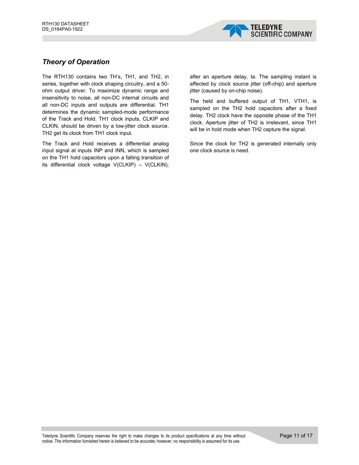

#### *Theory of Operation*

The RTH130 contains two TH's, TH1, and TH2, in series, together with clock shaping circuitry, and a 50 ohm output driver. To maximize dynamic range and insensitivity to noise, all non-DC internal circuits and all non-DC inputs and outputs are differential. TH1 determines the dynamic sampled-mode performance of the Track and Hold. TH1 clock inputs, CLKIP and CLKIN, should be driven by a low-jitter clock source. TH2 get its clock from TH1 clock input.

The Track and Hold receives a differential analog input signal at inputs INP and INN, which is sampled on the TH1 hold capacitors upon a falling transition of its differential clock voltage V(CLKIP) – V(CLKIN),

after an aperture delay, ta. The sampling instant is affected by clock source jitter (off-chip) and aperture jitter (caused by on-chip noise).

The held and buffered output of TH1, VTH1, is sampled on the TH2 hold capacitors after a fixed delay. TH2 clock have the opposite phase of the TH1 clock. Aperture jitter of TH2 is irrelevant, since TH1 will be in hold mode when TH2 capture the signal.

Since the clock for TH2 is generated internally only one clock source is need.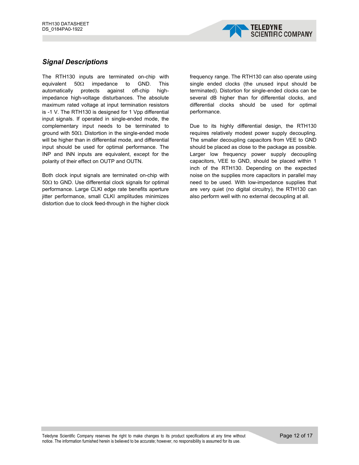

#### *Signal Descriptions*

The RTH130 inputs are terminated on-chip with equivalent 50Ω impedance to GND. This automatically protects against off-chip highimpedance high-voltage disturbances. The absolute maximum rated voltage at input termination resistors is -1 V. The RTH130 is designed for 1 Vpp differential input signals. If operated in single-ended mode, the complementary input needs to be terminated to ground with 50Ω. Distortion in the single-ended mode will be higher than in differential mode, and differential input should be used for optimal performance. The INP and INN inputs are equivalent, except for the polarity of their effect on OUTP and OUTN.

Both clock input signals are terminated on-chip with 50Ω to GND. Use differential clock signals for optimal performance. Large CLKI edge rate benefits aperture jitter performance, small CLKI amplitudes minimizes distortion due to clock feed-through in the higher clock frequency range. The RTH130 can also operate using single ended clocks (the unused input should be terminated). Distortion for single-ended clocks can be several dB higher than for differential clocks, and differential clocks should be used for optimal performance.

Due to its highly differential design, the RTH130 requires relatively modest power supply decoupling. The smaller decoupling capacitors from VEE to GND should be placed as close to the package as possible. Larger low frequency power supply decoupling capacitors, VEE to GND, should be placed within 1 inch of the RTH130. Depending on the expected noise on the supplies more capacitors in parallel may need to be used. With low-impedance supplies that are very quiet (no digital circuitry), the RTH130 can also perform well with no external decoupling at all.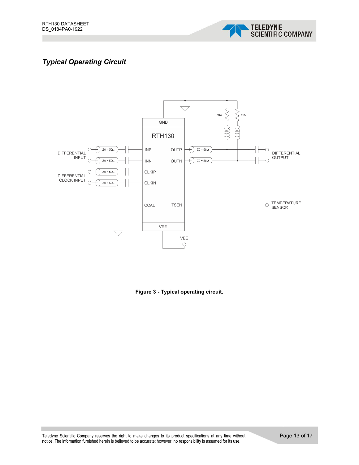

# *Typical Operating Circuit*



**Figure 3 - Typical operating circuit.**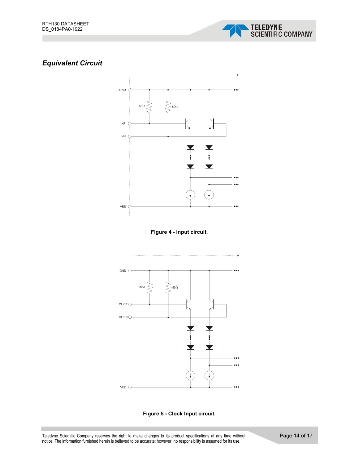

# *Equivalent Circuit*









Teledyne Scientific Company reserves the right to make changes to its product specifications at any time without notice. The information furnished herein is believed to be accurate; however, no responsibility is assumed for its use.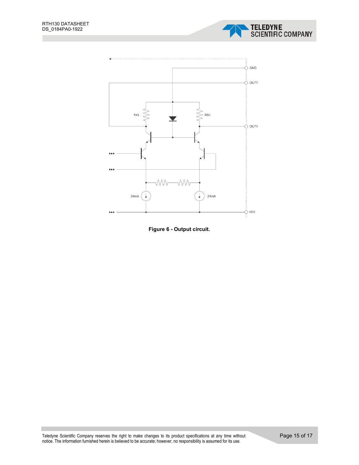





Teledyne Scientific Company reserves the right to make changes to its product specifications at any time without notice. The information furnished herein is believed to be accurate; however, no responsibility is assumed for its use.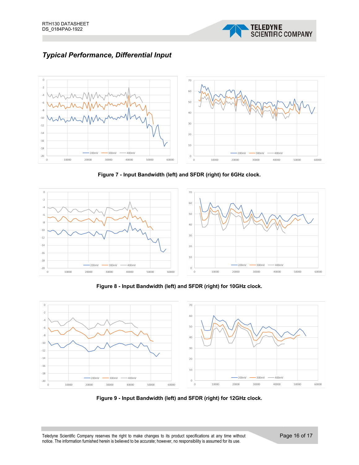

# *Typical Performance, Differential Input*



**Figure 7 - Input Bandwidth (left) and SFDR (right) for 6GHz clock.**



**Figure 8 - Input Bandwidth (left) and SFDR (right) for 10GHz clock.**



**Figure 9 - Input Bandwidth (left) and SFDR (right) for 12GHz clock.**